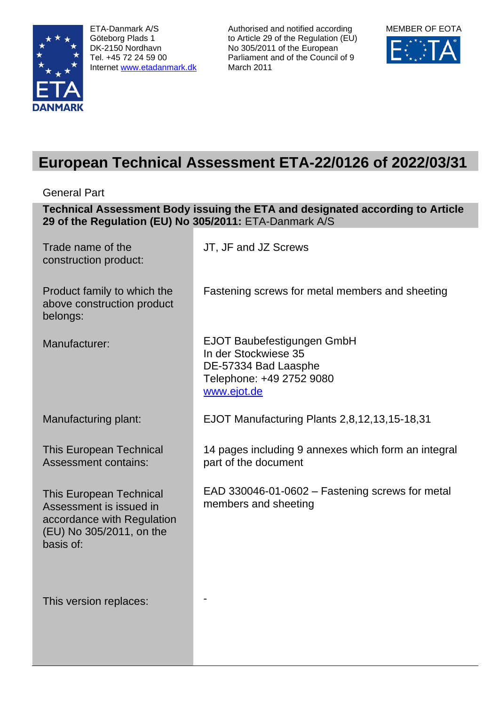

ETA-Danmark A/S Göteborg Plads 1 DK-2150 Nordhavn Tel. +45 72 24 59 00 Internet [www.etadanmark.dk](http://www.etadanmark.dk/)

Authorised and notified according to Article 29 of the Regulation (EU) No 305/2011 of the European Parliament and of the Council of 9 March 2011



# **European Technical Assessment ETA-22/0126 of 2022/03/31**

General Part

**Technical Assessment Body issuing the ETA and designated according to Article 29 of the Regulation (EU) No 305/2011:** ETA-Danmark A/S

| Trade name of the<br>construction product:                                                                                       | JT, JF and JZ Screws                                                                                                  |
|----------------------------------------------------------------------------------------------------------------------------------|-----------------------------------------------------------------------------------------------------------------------|
| Product family to which the<br>above construction product<br>belongs:                                                            | Fastening screws for metal members and sheeting                                                                       |
| Manufacturer:                                                                                                                    | EJOT Baubefestigungen GmbH<br>In der Stockwiese 35<br>DE-57334 Bad Laasphe<br>Telephone: +49 2752 9080<br>www.ejot.de |
| Manufacturing plant:                                                                                                             | EJOT Manufacturing Plants 2,8,12,13,15-18,31                                                                          |
| <b>This European Technical</b><br><b>Assessment contains:</b>                                                                    | 14 pages including 9 annexes which form an integral<br>part of the document                                           |
| <b>This European Technical</b><br>Assessment is issued in<br>accordance with Regulation<br>(EU) No 305/2011, on the<br>basis of: | EAD 330046-01-0602 – Fastening screws for metal<br>members and sheeting                                               |
| This version replaces:                                                                                                           |                                                                                                                       |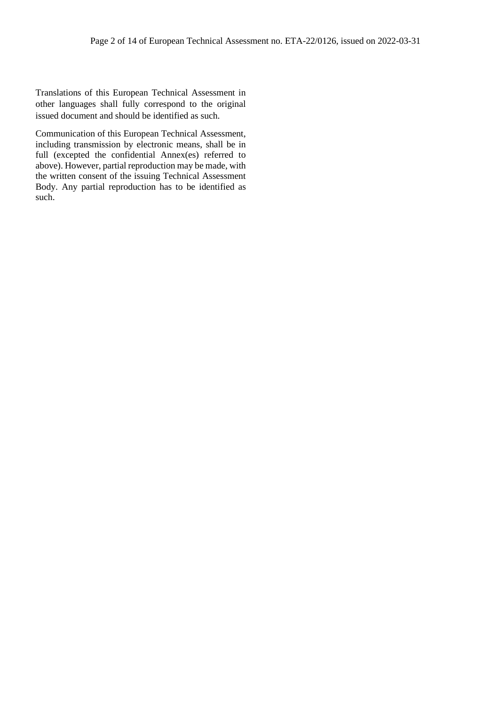Translations of this European Technical Assessment in other languages shall fully correspond to the original issued document and should be identified as such.

Communication of this European Technical Assessment, including transmission by electronic means, shall be in full (excepted the confidential Annex(es) referred to above). However, partial reproduction may be made, with the written consent of the issuing Technical Assessment Body. Any partial reproduction has to be identified as such.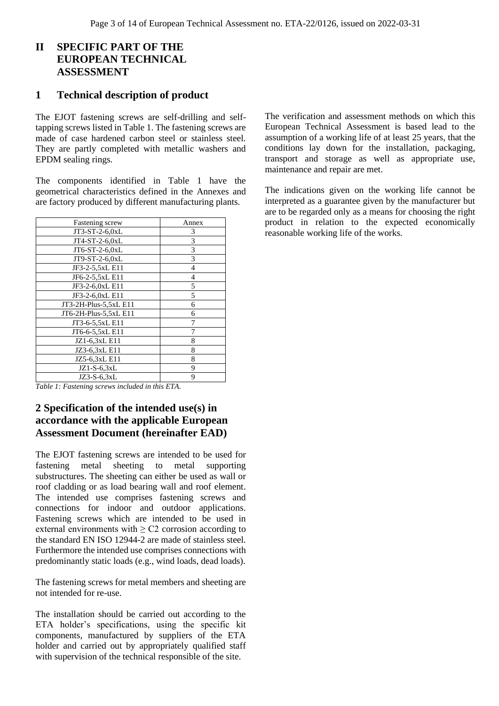# **II SPECIFIC PART OF THE EUROPEAN TECHNICAL ASSESSMENT**

### **1 Technical description of product**

The EJOT fastening screws are self-drilling and selftapping screws listed in Table 1. The fastening screws are made of case hardened carbon steel or stainless steel. They are partly completed with metallic washers and EPDM sealing rings.

The components identified in Table 1 have the geometrical characteristics defined in the Annexes and are factory produced by different manufacturing plants.

| Fastening screw       | Annex |
|-----------------------|-------|
| JT3-ST-2-6,0xL        | 3     |
| JT4-ST-2-6,0xL        | 3     |
| JT6-ST-2-6,0xL        | 3     |
| JT9-ST-2-6,0xL        | 3     |
| JF3-2-5,5xL E11       | 4     |
| JF6-2-5,5xL E11       | 4     |
| JF3-2-6,0xL E11       | 5     |
| JF3-2-6,0xL E11       | 5     |
| JT3-2H-Plus-5,5xL E11 | 6     |
| JT6-2H-Plus-5,5xL E11 | 6     |
| JT3-6-5,5xL E11       | 7     |
| JT6-6-5,5xL E11       |       |
| JZ1-6,3xL E11         | 8     |
| JZ3-6,3xL E11         | 8     |
| JZ5-6,3xL E11         | 8     |
| $JZ1-S-6,3xL$         | 9     |
| JZ3-S-6,3xL           | 9     |

*Table 1: Fastening screws included in this ETA.*

# **2 Specification of the intended use(s) in accordance with the applicable European Assessment Document (hereinafter EAD)**

The EJOT fastening screws are intended to be used for fastening metal sheeting to metal supporting substructures. The sheeting can either be used as wall or roof cladding or as load bearing wall and roof element. The intended use comprises fastening screws and connections for indoor and outdoor applications. Fastening screws which are intended to be used in external environments with  $\geq$  C2 corrosion according to the standard EN ISO 12944-2 are made of stainless steel. Furthermore the intended use comprises connections with predominantly static loads (e.g., wind loads, dead loads).

The fastening screws for metal members and sheeting are not intended for re-use.

The installation should be carried out according to the ETA holder's specifications, using the specific kit components, manufactured by suppliers of the ETA holder and carried out by appropriately qualified staff with supervision of the technical responsible of the site.

The verification and assessment methods on which this European Technical Assessment is based lead to the assumption of a working life of at least 25 years, that the conditions lay down for the installation, packaging, transport and storage as well as appropriate use, maintenance and repair are met.

The indications given on the working life cannot be interpreted as a guarantee given by the manufacturer but are to be regarded only as a means for choosing the right product in relation to the expected economically reasonable working life of the works.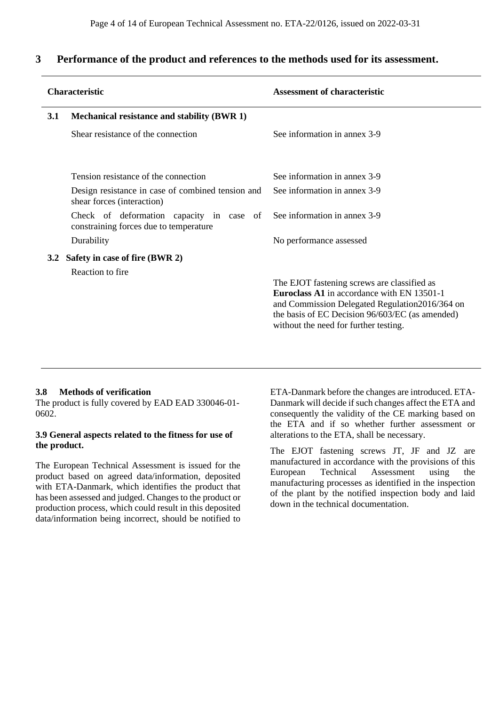### **3 Performance of the product and references to the methods used for its assessment.**

|                  | <b>Characteristic</b>                                                              | <b>Assessment of characteristic</b>                                                                                                                                                                                                            |  |  |  |  |
|------------------|------------------------------------------------------------------------------------|------------------------------------------------------------------------------------------------------------------------------------------------------------------------------------------------------------------------------------------------|--|--|--|--|
| 3.1              | Mechanical resistance and stability (BWR 1)                                        |                                                                                                                                                                                                                                                |  |  |  |  |
|                  | Shear resistance of the connection                                                 | See information in annex 3-9                                                                                                                                                                                                                   |  |  |  |  |
|                  | Tension resistance of the connection                                               | See information in annex 3-9                                                                                                                                                                                                                   |  |  |  |  |
|                  | Design resistance in case of combined tension and<br>shear forces (interaction)    | See information in annex 3-9                                                                                                                                                                                                                   |  |  |  |  |
|                  | Check of deformation capacity in case of<br>constraining forces due to temperature | See information in annex 3-9                                                                                                                                                                                                                   |  |  |  |  |
|                  | Durability                                                                         | No performance assessed                                                                                                                                                                                                                        |  |  |  |  |
| 3.2 <sub>1</sub> | Safety in case of fire (BWR 2)                                                     |                                                                                                                                                                                                                                                |  |  |  |  |
|                  | Reaction to fire.                                                                  | The EJOT fastening screws are classified as<br><b>Euroclass A1</b> in accordance with EN 13501-1<br>and Commission Delegated Regulation2016/364 on<br>the basis of EC Decision 96/603/EC (as amended)<br>without the need for further testing. |  |  |  |  |

### **3.8 Methods of verification**

The product is fully covered by EAD EAD 330046-01- 0602.

### **3.9 General aspects related to the fitness for use of the product.**

The European Technical Assessment is issued for the product based on agreed data/information, deposited with ETA-Danmark, which identifies the product that has been assessed and judged. Changes to the product or production process, which could result in this deposited data/information being incorrect, should be notified to

ETA-Danmark before the changes are introduced. ETA-Danmark will decide if such changes affect the ETA and consequently the validity of the CE marking based on the ETA and if so whether further assessment or alterations to the ETA, shall be necessary.

The EJOT fastening screws JT, JF and JZ are manufactured in accordance with the provisions of this European Technical Assessment using the manufacturing processes as identified in the inspection of the plant by the notified inspection body and laid down in the technical documentation.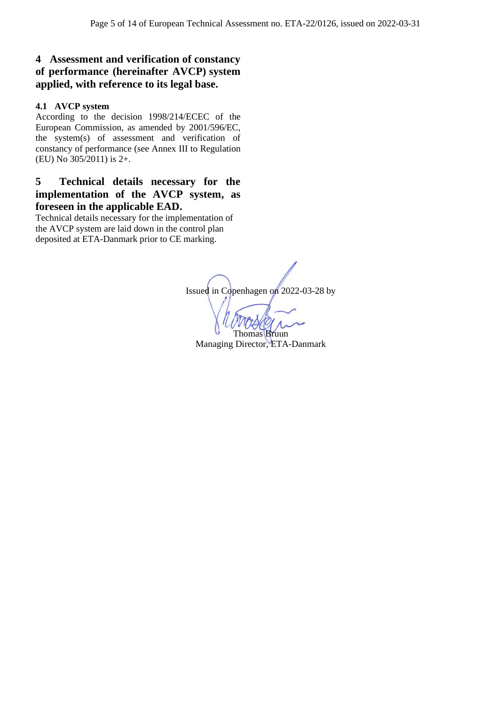# **4 Assessment and verification of constancy of performance (hereinafter AVCP) system applied, with reference to its legal base.**

### **4.1 AVCP system**

According to the decision 1998/214/ECEC of the European Commission, as amended by 2001/596/EC, the system(s) of assessment and verification of constancy of performance (see Annex III to Regulation (EU) No 305/2011) is 2+.

## **5 Technical details necessary for the implementation of the AVCP system, as foreseen in the applicable EAD.**

Technical details necessary for the implementation of the AVCP system are laid down in the control plan deposited at ETA-Danmark prior to CE marking.

Issued in Copenhagen on 2022-03-28 by Thomas Bruun Managing Director, ETA-Danmark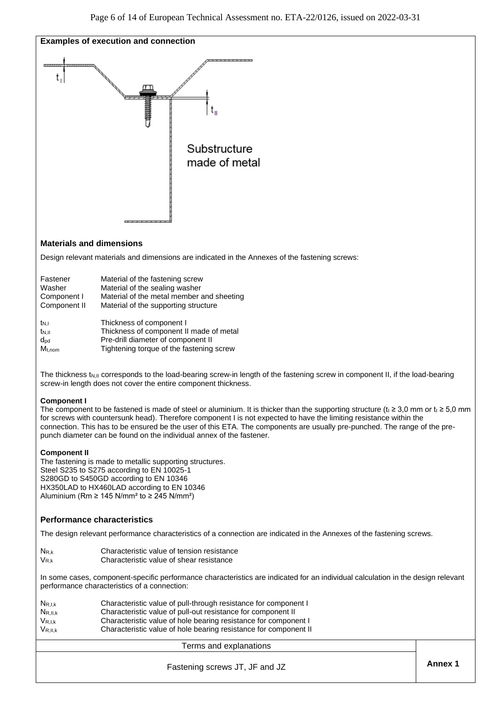

### **Materials and dimensions**

Design relevant materials and dimensions are indicated in the Annexes of the fastening screws:

| Fastener         | Material of the fastening screw           |
|------------------|-------------------------------------------|
| Washer           | Material of the sealing washer            |
| Component I      | Material of the metal member and sheeting |
| Component II     | Material of the supporting structure      |
| t <sub>N,I</sub> | Thickness of component I                  |
| $t_{\rm N,II}$   | Thickness of component II made of metal   |

dpd Pre-drill diameter of component II M<sub>t,nom</sub> Tightening torque of the fastening screw

The thickness t<sub>N,II</sub> corresponds to the load-bearing screw-in length of the fastening screw in component II, if the load-bearing screw-in length does not cover the entire component thickness.

### **Component I**

The component to be fastened is made of steel or aluminium. It is thicker than the supporting structure (ti ≥ 3.0 mm or ti ≥ 5.0 mm for screws with countersunk head). Therefore component I is not expected to have the limiting resistance within the connection. This has to be ensured be the user of this ETA. The components are usually pre-punched. The range of the prepunch diameter can be found on the individual annex of the fastener.

### **Component II**

The fastening is made to metallic supporting structures. Steel S235 to S275 according to EN 10025-1 S280GD to S450GD according to EN 10346 HX350LAD to HX460LAD according to EN 10346 Aluminium (Rm  $\geq$  145 N/mm<sup>2</sup> to  $\geq$  245 N/mm<sup>2</sup>)

### **Performance characteristics**

The design relevant performance characteristics of a connection are indicated in the Annexes of the fastening screws.

NR,k Characteristic value of tension resistance V<sub>R,k</sub> Characteristic value of shear resistance

In some cases, component-specific performance characteristics are indicated for an individual calculation in the design relevant performance characteristics of a connection:

| $N_{R,I,k}$  | Characteristic value of pull-through resistance for component I  |
|--------------|------------------------------------------------------------------|
| $N_{R,II,k}$ | Characteristic value of pull-out resistance for component II     |
| $V_{R,I,k}$  | Characteristic value of hole bearing resistance for component I  |
| $V_{R,II,k}$ | Characteristic value of hole bearing resistance for component II |

### Terms and explanations

**Annex 1** Fastening screws JT, JF and JZ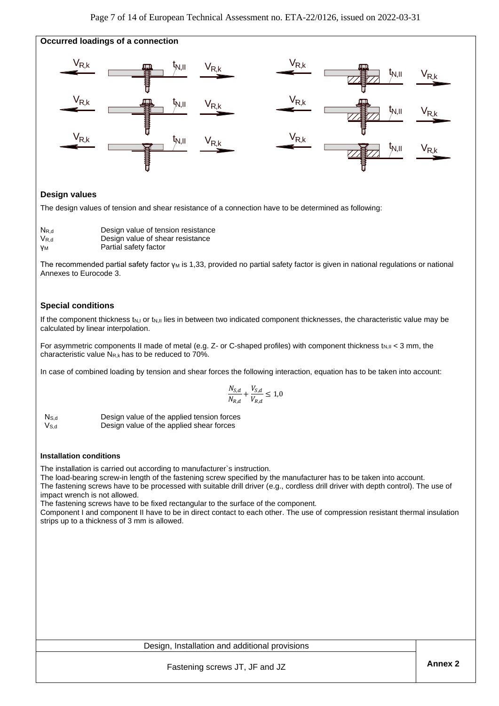

### **Design values**

The design values of tension and shear resistance of a connection have to be determined as following:

| $N_{R,d}$ | Design value of tension resistance |
|-----------|------------------------------------|
| $V_{R,d}$ | Design value of shear resistance   |
| γм        | Partial safety factor              |

The recommended partial safety factor γ<sub>M</sub> is 1,33, provided no partial safety factor is given in national regulations or national Annexes to Eurocode 3.

### **Special conditions**

If the component thickness  $t_{N,l}$  or  $t_{N,l}$  lies in between two indicated component thicknesses, the characteristic value may be calculated by linear interpolation.

For asymmetric components II made of metal (e.g. Z- or C-shaped profiles) with component thickness t<sub>N,II</sub> < 3 mm, the characteristic value  $N_{R,k}$  has to be reduced to 70%.

In case of combined loading by tension and shear forces the following interaction, equation has to be taken into account:

$$
\frac{N_{S,d}}{N_{R,d}} + \frac{V_{S,d}}{V_{R,d}} \leq 1.0
$$

 NS,d Design value of the applied tension forces  $V_{S,d}$  Design value of the applied shear forces

### **Installation conditions**

The installation is carried out according to manufacturer`s instruction.

The load-bearing screw-in length of the fastening screw specified by the manufacturer has to be taken into account.

The fastening screws have to be processed with suitable drill driver (e.g., cordless drill driver with depth control). The use of impact wrench is not allowed.

The fastening screws have to be fixed rectangular to the surface of the component.

Component I and component II have to be in direct contact to each other. The use of compression resistant thermal insulation strips up to a thickness of 3 mm is allowed.

### Design, Installation and additional provisions

**Annex 2** Fastening screws JT, JF and JZ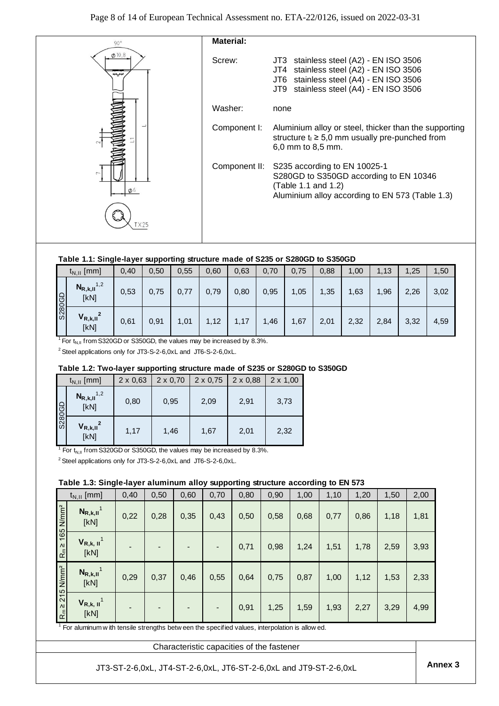

### **Table 1.1: Single-layer supporting structure made of S235 or S280GD to S350GD**

|        | $t_{N,II}$ [mm]                     | 0,40 | 0,50 | 0.55 | 0,60 | 0,63 | 0,70 | 0,75 | 0.88 | 1,00 | 1,13 | 1,25 | 1,50 |
|--------|-------------------------------------|------|------|------|------|------|------|------|------|------|------|------|------|
| S280GD | $N_{R,k,II}$ <sup>1,2</sup><br>[kN] | 0,53 | 0,75 | 0,77 | 0,79 | 0,80 | 0,95 | 1,05 | 1,35 | 1,63 | 1,96 | 2,26 | 3,02 |
|        | $V_{R,k,II}^2$<br>[kN]              | 0,61 | 0,91 | 1,01 | 1,12 | 1,17 | 1,46 | 1,67 | 2,01 | 2,32 | 2,84 | 3,32 | 4,59 |

<sup>1</sup> For  $t_{\text{N,II}}$  from S320GD or S350GD, the values may be increased by 8.3%.

<sup>2</sup> Steel applications only for JT3-S-2-6,0xL and JT6-S-2-6,0xL.

### **Table 1.2: Two-layer supporting structure made of S235 or S280GD to S350GD**

|        | $t_{N,II}$ [mm]                                                                                | $2 \times 0,63$ | $2 \times 0,70$ | $2 \times 0,75$ | $2 \times 0,88$ | $2 \times 1,00$ |
|--------|------------------------------------------------------------------------------------------------|-----------------|-----------------|-----------------|-----------------|-----------------|
| S280GD | $N_{R,k,II}$ <sup>1,2</sup><br>[kN]                                                            | 0,80            | 0,95            | 2,09            | 2,91            | 3.73            |
|        | $V_{R,k,II}^2$<br>[kN]                                                                         | 1,17            | 1,46            | 1,67            | 2,01            | 2,32            |
|        | <sup>1</sup> For t <sub>N II</sub> from S320GD or S350GD, the values may be increased by 8.3%. |                 |                 |                 |                 |                 |

<sup>2</sup> Steel applications only for JT3-S-2-6,0xL and JT6-S-2-6,0xL.

### **Table 1.3: Single-layer aluminum alloy supporting structure according to EN 573**

|                         | $t_{N,II}$ [mm]                                                                             | 0,40 | 0,50                     | 0,60 | 0,70 | 0,80 | 0,90 | 1,00 | 1,10 | 1,20 | 1,50 | 2,00 |
|-------------------------|---------------------------------------------------------------------------------------------|------|--------------------------|------|------|------|------|------|------|------|------|------|
| $165$ N/mm <sup>2</sup> | $N_{R,k,II}$ <sup>1</sup><br>[kN]                                                           | 0,22 | 0,28                     | 0,35 | 0,43 | 0,50 | 0,58 | 0,68 | 0,77 | 0,86 | 1,18 | 1,81 |
| $R_{m}$ $\geq$          | $V_{R,k, II}$ <sup>1</sup><br>[kN]                                                          |      | $\overline{\phantom{0}}$ |      |      | 0,71 | 0,98 | 1,24 | 1,51 | 1,78 | 2,59 | 3,93 |
| $215$ N/mm <sup>2</sup> | $N_{R,k,II}$ <sup>1</sup><br>[kN]                                                           | 0,29 | 0,37                     | 0,46 | 0,55 | 0,64 | 0,75 | 0,87 | 1,00 | 1,12 | 1,53 | 2,33 |
| $R_{m}$ $\geq$          | $V_{R,k, II}$ <sup>1</sup><br>[kN]                                                          |      |                          |      |      | 0,91 | 1,25 | 1,59 | 1,93 | 2,27 | 3,29 | 4,99 |
|                         | For aluminum with tensile strengths between the specified values, interpolation is allowed. |      |                          |      |      |      |      |      |      |      |      |      |

Characteristic capacities of the fastener

**Annex 3** JT3-ST-2-6,0xL, JT4-ST-2-6,0xL, JT6-ST-2-6,0xL and JT9-ST-2-6,0xL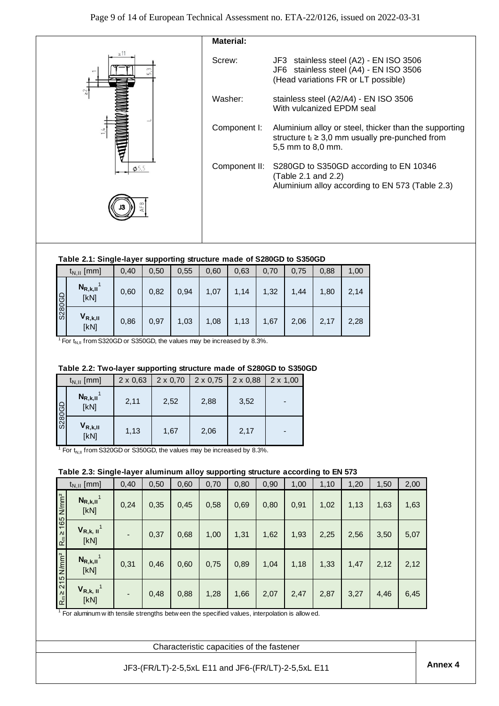

### **Table 2.1: Single-layer supporting structure made of S280GD to S350GD**

|               | $t_{N,II}$ [mm]      | 0,40 | 0,50 | 0.55 | 0,60 | 0,63 | 0,70 | 0,75 | 0.88 | 1,00 |
|---------------|----------------------|------|------|------|------|------|------|------|------|------|
| <b>S280GD</b> | $N_{R,k,II}$<br>[kN] | 0,60 | 0,82 | 0.94 | 1,07 | 1,14 | 1,32 | 1,44 | 1,80 | 2,14 |
|               | $V_{R,k,II}$<br>[kN] | 0,86 | 0,97 | 1,03 | 1,08 | 1,13 | 1,67 | 2,06 | 2,17 | 2,28 |

<sup>1</sup> For  $t_{\text{N,II}}$  from S320GD or S350GD, the values may be increased by 8.3%.

### **Table 2.2: Two-layer supporting structure made of S280GD to S350GD**

|               | $t_{N,II}$ [mm]      | $2 \times 0,63$ | $2 \times 0,70$ | $2 \times 0,75$ | $2 \times 0,88$ | $2 \times 1,00$ |
|---------------|----------------------|-----------------|-----------------|-----------------|-----------------|-----------------|
| <b>GD082S</b> | $N_{R,k,II}$<br>[KN] | 2,11            | 2,52            | 2,88            | 3,52            | $\blacksquare$  |
|               | $V_{R,k,II}$<br>[kN] | 1,13            | 1,67            | 2,06            | 2,17            | $\blacksquare$  |

<sup>1</sup> For  $t_{N,II}$  from S320GD or S350GD, the values may be increased by 8.3%.

### **Table 2.3: Single-layer aluminum alloy supporting structure according to EN 573**

|                                  | $t_{N,II}$ [mm]                                                                               | 0,40 | 0,50 | 0,60 | 0,70 | 0,80 | 0,90 | 1,00 | 1,10 | 1,20 | 1,50 | 2,00 |
|----------------------------------|-----------------------------------------------------------------------------------------------|------|------|------|------|------|------|------|------|------|------|------|
| $R_m \ge 165$ N/mm <sup>2</sup>  | $N_{R,k,II}$ <sup>1</sup><br>[kN]                                                             | 0,24 | 0,35 | 0,45 | 0,58 | 0,69 | 0,80 | 0,91 | 1,02 | 1,13 | 1,63 | 1,63 |
|                                  | $V_{R,k, II}$ <sup>1</sup><br>[kN]                                                            |      | 0,37 | 0,68 | 1,00 | 1,31 | 1,62 | 1,93 | 2,25 | 2,56 | 3,50 | 5,07 |
|                                  | $N_{R,k,II}$ <sup>1</sup><br>[kN]                                                             | 0,31 | 0,46 | 0,60 | 0,75 | 0,89 | 1,04 | 1,18 | 1,33 | 1,47 | 2,12 | 2,12 |
| $R_m \geq 215$ N/mm <sup>2</sup> | $V_{R,k, II}$ <sup>1</sup><br>[kN]                                                            |      | 0,48 | 0,88 | 1,28 | 1,66 | 2,07 | 2,47 | 2,87 | 3,27 | 4,46 | 6,45 |
|                                  | For aluminum with tensile strengths betw een the specified values, interpolation is allow ed. |      |      |      |      |      |      |      |      |      |      |      |

Characteristic capacities of the fastener

**Annex 4** JF3-(FR/LT)-2-5,5xL E11 and JF6-(FR/LT)-2-5,5xL E11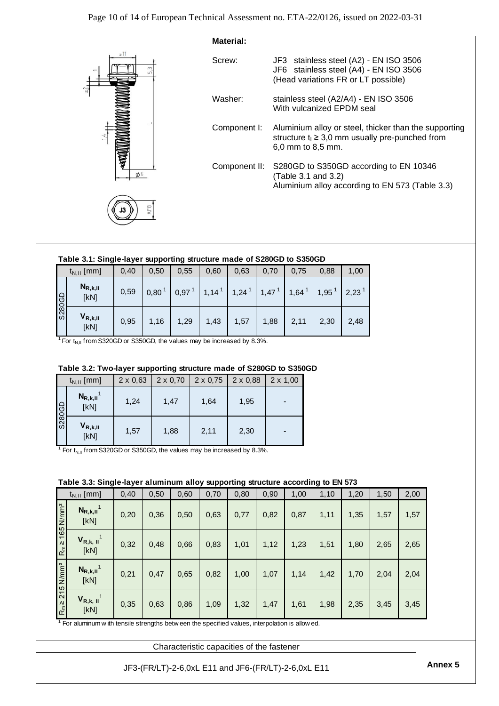

### **Table 3.1: Single-layer supporting structure made of S280GD to S350GD**

|               | $t_{N,II}$ [mm]      | 0,40 | 0,50 | 0.55              | 0,60                | 0.63                | 0,70              | 0,75 | 0,88              | 1,00              |
|---------------|----------------------|------|------|-------------------|---------------------|---------------------|-------------------|------|-------------------|-------------------|
| <b>GD082S</b> | $N_{R,k,II}$<br>[KN] | 0,59 | 0,80 | 0,97 <sup>1</sup> | $1,14$ <sup>1</sup> | $1,24$ <sup>1</sup> | 1,47 <sup>1</sup> | 1,64 | 1,95 <sup>1</sup> | 2,23 <sup>1</sup> |
|               | $V_{R,k,II}$<br>[kN] | 0,95 | 1,16 | 1,29              | 1,43                | 1,57                | 1,88              | 2,11 | 2,30              | 2,48              |

<sup>1</sup> For  $t_{\text{N,II}}$  from S320GD or S350GD, the values may be increased by 8.3%.

### **Table 3.2: Two-layer supporting structure made of S280GD to S350GD**

|               | $t_{N,II}$ [mm]                   | $2 \times 0,63$ | $2 \times 0,70$ | $2 \times 0,75$ | $2 \times 0,88$ | $2 \times 1,00$ |
|---------------|-----------------------------------|-----------------|-----------------|-----------------|-----------------|-----------------|
| <b>GD082S</b> | $N_{R,k,II}$ <sup>1</sup><br>[KN] | 1,24            | 1,47            | 1,64            | 1,95            |                 |
|               | $V_{R,k,II}$<br>[kN]              | 1,57            | 1,88            | 2,11            | 2,30            |                 |

<sup>1</sup> For  $t_{N,II}$  from S320GD or S350GD, the values may be increased by 8.3%.

### **Table 3.3: Single-layer aluminum alloy supporting structure according to EN 573**

|                   | $t_{N,II}$ [mm]                                                                              | 0,40 | 0,50 | 0,60 | 0,70 | 0,80 | 0,90 | 1,00 | 1,10 | 1,20 | 1,50 | 2,00 |
|-------------------|----------------------------------------------------------------------------------------------|------|------|------|------|------|------|------|------|------|------|------|
| $N/mm^2$          | $N_{R,k,II}$ <sup>1</sup><br>[kN]                                                            | 0,20 | 0,36 | 0,50 | 0,63 | 0,77 | 0,82 | 0,87 | 1,11 | 1,35 | 1,57 | 1,57 |
| 165<br>$R_m \geq$ | $V_{R,k, II}$ <sup>1</sup><br>[kN]                                                           | 0,32 | 0,48 | 0,66 | 0,83 | 1,01 | 1,12 | 1,23 | 1,51 | 1,80 | 2,65 | 2,65 |
| N/mm <sup>2</sup> | $N_{R,k,II}$ <sup>1</sup><br>[kN]                                                            | 0,21 | 0,47 | 0,65 | 0,82 | 1,00 | 1,07 | 1,14 | 1,42 | 1,70 | 2,04 | 2,04 |
| 215<br>$R_m \ge$  | $V_{R,k, II}$ <sup>1</sup><br>[kN]                                                           | 0,35 | 0,63 | 0,86 | 1,09 | 1,32 | 1,47 | 1,61 | 1,98 | 2,35 | 3,45 | 3,45 |
|                   | For aluminum w ith tensile strengths between the specified values, interpolation is allowed. |      |      |      |      |      |      |      |      |      |      |      |

Characteristic capacities of the fastener

**Annex 5** JF3-(FR/LT)-2-6,0xL E11 and JF6-(FR/LT)-2-6,0xL E11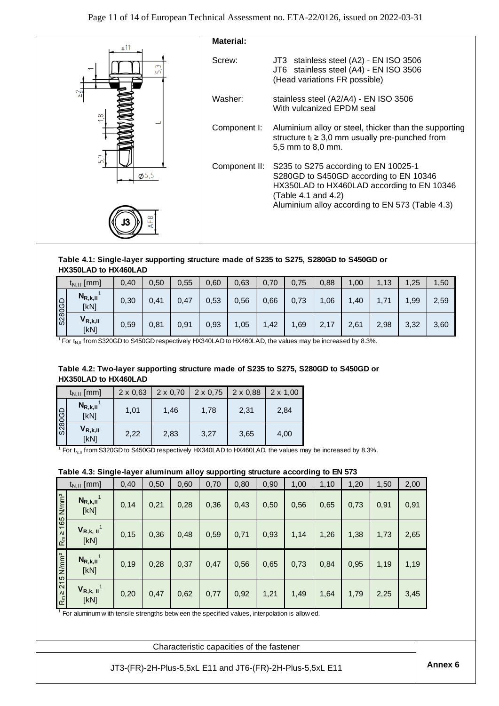

#### **Table 4.1: Single-layer supporting structure made of S235 to S275, S280GD to S450GD or HX350LAD to HX460LAD**

|        | $t_{N,II}$ [mm]      | 0,40 | 0,50 | 0,55 | 0,60 | 0.63 | 0,70 | 0,75 | 0,88 | 1,00 | 1,13 | 25, ا | ,50  |
|--------|----------------------|------|------|------|------|------|------|------|------|------|------|-------|------|
| S280GD | $N_{R,k,II}$<br>[kN] | 0,30 | 0,41 | 0,47 | 0,53 | 0.56 | 0,66 | 0,73 | ,06  | 1,40 | 1,71 | 1,99  | 2,59 |
|        | $V_{R,k,II}$<br>[kN] | 0,59 | 0,81 | 0,91 | 0,93 | 1,05 | 1,42 | ,69  | 2,17 | 2,61 | 2,98 | 3,32  | 3,60 |

<sup>1</sup> For  $t_{\text{NII}}$  from S320GD to S450GD respectively HX340LAD to HX460LAD, the values may be increased by 8.3%.

### **Table 4.2: Two-layer supporting structure made of S235 to S275, S280GD to S450GD or HX350LAD to HX460LAD**

|        | $t_{N,II}$ [mm]                   | $2 \times 0,63$ |      | $2 \times 0.70$   2 $\times$ 0.75   2 $\times$ 0.88 |      | $2 \times 1,00$ |
|--------|-----------------------------------|-----------------|------|-----------------------------------------------------|------|-----------------|
| S280GD | $N_{R,k,II}$ <sup>1</sup><br>[kN] | 1.01            | 1.46 | 1.78                                                | 2.31 | 2.84            |
|        | $V_{R,k,II}$<br>[kN]              | 2.22            | 2,83 | 3.27                                                | 3,65 | 4,00            |

<sup>1</sup> For t<sub>N,II</sub> from S320GD to S450GD respectively HX340LAD to HX460LAD, the values may be increased by 8.3%.

### **Table 4.3: Single-layer aluminum alloy supporting structure according to EN 573**

|                                  | $t_{N,II}$ [mm]                                                                               | 0,40  | 0,50 | 0,60 | 0,70 | 0,80 | 0,90 | 1,00 | 1,10 | 1,20 | 1,50 | 2,00 |
|----------------------------------|-----------------------------------------------------------------------------------------------|-------|------|------|------|------|------|------|------|------|------|------|
| $R_m \ge 165$ N/mm <sup>2</sup>  | $N_{R,k,II}$ <sup>1</sup><br>[kN]                                                             | 0,14  | 0,21 | 0,28 | 0,36 | 0,43 | 0,50 | 0,56 | 0,65 | 0,73 | 0,91 | 0,91 |
|                                  | $V_{R,k, II}$ <sup>1</sup><br>[kN]                                                            | 0, 15 | 0,36 | 0,48 | 0,59 | 0,71 | 0,93 | 1,14 | 1,26 | 1,38 | 1,73 | 2,65 |
| $R_m \geq 215$ N/mm <sup>2</sup> | $N_{R,k,II}$ <sup>1</sup><br>[kN]                                                             | 0,19  | 0,28 | 0,37 | 0,47 | 0,56 | 0,65 | 0,73 | 0,84 | 0,95 | 1,19 | 1,19 |
|                                  | $V_{R,k, II}$ <sup>1</sup><br>[KN]                                                            | 0,20  | 0,47 | 0,62 | 0,77 | 0,92 | 1,21 | 1,49 | 1,64 | 1,79 | 2,25 | 3,45 |
|                                  | For aluminum with tensile strengths betw een the specified values, interpolation is allow ed. |       |      |      |      |      |      |      |      |      |      |      |

Characteristic capacities of the fastener

**Annex 6** JT3-(FR)-2H-Plus-5,5xL E11 and JT6-(FR)-2H-Plus-5,5xL E11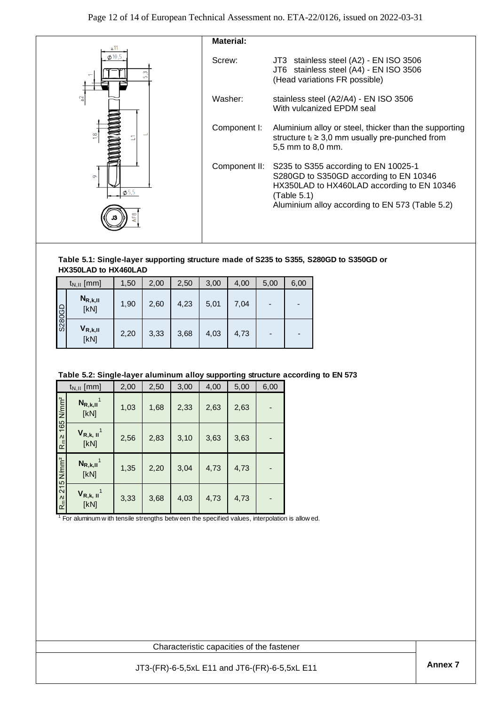

#### **Table 5.1: Single-layer supporting structure made of S235 to S355, S280GD to S350GD or HX350LAD to HX460LAD**

|        | $t_{N,II}$ [mm]      | 1,50 | 2,00 | 2,50 | 3,00 | 4,00 | 5,00                     | 6,00           |
|--------|----------------------|------|------|------|------|------|--------------------------|----------------|
| S280GD | $N_{R,k,II}$<br>[kN] | 1,90 | 2,60 | 4,23 | 5,01 | 7,04 |                          | -              |
|        | $V_{R,k,II}$<br>[kN] | 2,20 | 3,33 | 3,68 | 4,03 | 4,73 | $\overline{\phantom{0}}$ | $\blacksquare$ |

### **Table 5.2: Single-layer aluminum alloy supporting structure according to EN 573**

|                                  | $t_{N,II}$ [mm]                                                                                    | 2,00 | 2,50 | 3,00 | 4,00 | 5,00 | 6,00 |  |
|----------------------------------|----------------------------------------------------------------------------------------------------|------|------|------|------|------|------|--|
| 165 N/mm <sup>2</sup>            | $N_{R,k,II}$ <sup>1</sup><br>[kN]                                                                  | 1,03 | 1,68 | 2,33 | 2,63 | 2,63 |      |  |
| $R_{m}$ $\geq$                   | $V_{R,k, II}$ <sup>1</sup><br>[kN]                                                                 | 2,56 | 2,83 | 3,10 | 3,63 | 3,63 |      |  |
|                                  | $N_{R,k,II}$ <sup>1</sup><br>[KN]                                                                  | 1,35 | 2,20 | 3,04 | 4,73 | 4,73 |      |  |
| $R_m \geq 215$ N/mm <sup>2</sup> | $V_{R,k, II}$ <sup>1</sup><br>[kN]                                                                 | 3,33 | 3,68 | 4,03 | 4,73 | 4,73 |      |  |
|                                  | $1$ For aluminum w ith tensile strengths betw een the specified values, interpolation is allow ed. |      |      |      |      |      |      |  |

Characteristic capacities of the fastener

**Annex 7** JT3-(FR)-6-5,5xL E11 and JT6-(FR)-6-5,5xL E11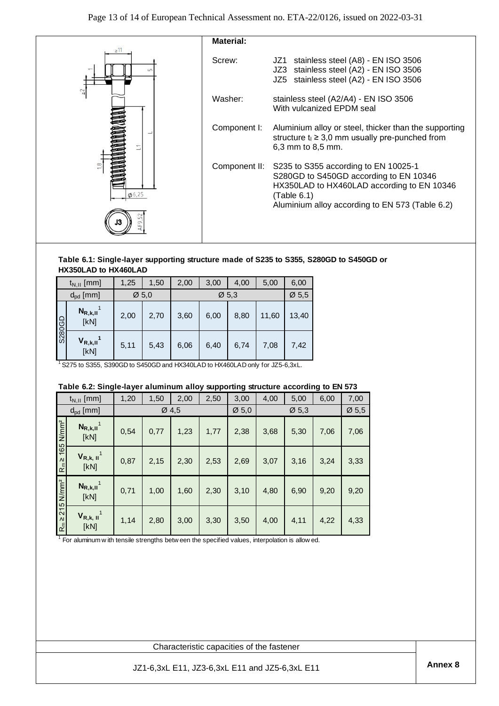

### **Table 6.1: Single-layer supporting structure made of S235 to S355, S280GD to S450GD or HX350LAD to HX460LAD**

|        | $t_{N,II}$ [mm]                   | 1,25              | 1,50 | 2,00 | 3,00 | 4,00              | 5,00  | 6,00              |
|--------|-----------------------------------|-------------------|------|------|------|-------------------|-------|-------------------|
|        | $d_{\rm pd}$ [mm]                 | $\varnothing$ 5.0 |      |      |      | $\varnothing$ 5.3 |       | $\varnothing$ 5,5 |
| S280GD | $N_{R,k,II}$ <sup>1</sup><br>[kN] | 2,00              | 2,70 | 3,60 | 6,00 | 8,80              | 11,60 | 13,40             |
|        | $V_{R,k,II}$ <sup>1</sup><br>[kN] | 5,11              | 5,43 | 6,06 | 6,40 | 6,74              | 7,08  | 7,42              |

### **Table 6.2: Single-layer aluminum alloy supporting structure according to EN 573**

|                                                                   | $d_{\rm pd}$ [mm]                                                                                           |      | $\varnothing$ 5,0 |       |      | $\varnothing$ 5,3 |                                                | $\varnothing$ 5,5 |      |                   |  |
|-------------------------------------------------------------------|-------------------------------------------------------------------------------------------------------------|------|-------------------|-------|------|-------------------|------------------------------------------------|-------------------|------|-------------------|--|
|                                                                   | $N_{R,k,II}$ <sup>1</sup><br>[kN]                                                                           | 2,00 | 2,70              | 3,60  | 6,00 | 8,80              | 11,60                                          | 13,40             |      |                   |  |
| <b>G5082S</b>                                                     | $V_{R,k,II}$ <sup>1</sup><br>[KN]                                                                           | 5,11 | 5,43              | 6,06  | 6,40 | 6,74              | 7,08                                           | 7,42              |      |                   |  |
|                                                                   | <sup>1</sup> S275 to S355, S390GD to S450GD and HX340LAD to HX460LAD only for JZ5-6,3xL.                    |      |                   |       |      |                   |                                                |                   |      |                   |  |
|                                                                   |                                                                                                             |      |                   |       |      |                   |                                                |                   |      |                   |  |
|                                                                   | Table 6.2: Single-layer aluminum alloy supporting structure according to EN 573<br>$t_{N,II}$ [mm]          | 1,20 | 1,50              | 2,00  | 2,50 | 3,00              | 4,00                                           | 5,00              | 6,00 | 7,00              |  |
|                                                                   | $d_{pd}$ [mm]                                                                                               |      |                   | Ø 4,5 |      | $\varnothing$ 5,0 |                                                | $\varnothing$ 5,3 |      | $\varnothing$ 5,5 |  |
|                                                                   | $N_{R,k,II}$ <sup>1</sup><br>[KN]                                                                           | 0,54 | 0,77              | 1,23  | 1,77 | 2,38              | 3,68                                           | 5,30              | 7,06 | 7,06              |  |
| $R_m \geq 215$ N/mm <sup>2</sup> $R_m \geq 165$ N/mm <sup>2</sup> | $V_{R,k, II}$ <sup>1</sup><br>[KN]                                                                          | 0,87 | 2,15              | 2,30  | 2,53 | 2,69              | 3,07                                           | 3,16              | 3,24 | 3,33              |  |
|                                                                   | $N_{R,k,II}$ <sup>1</sup><br>[kN]                                                                           | 0,71 | 1,00              | 1,60  | 2,30 | 3,10              | 4,80                                           | 6,90              | 9,20 | 9,20              |  |
|                                                                   | $V_{R,k, II}$ <sup>1</sup><br>[KN]                                                                          | 1,14 | 2,80              | 3,00  | 3,30 | 3,50              | 4,00                                           | 4,11              | 4,22 | 4,33              |  |
|                                                                   | <sup>1</sup> For aluminum w ith tensile strengths betw een the specified values, interpolation is allow ed. |      |                   |       |      |                   |                                                |                   |      |                   |  |
|                                                                   |                                                                                                             |      |                   |       |      |                   | Characteristic capacities of the fastener      |                   |      |                   |  |
|                                                                   |                                                                                                             |      |                   |       |      |                   | JZ1-6,3xL E11, JZ3-6,3xL E11 and JZ5-6,3xL E11 |                   |      |                   |  |